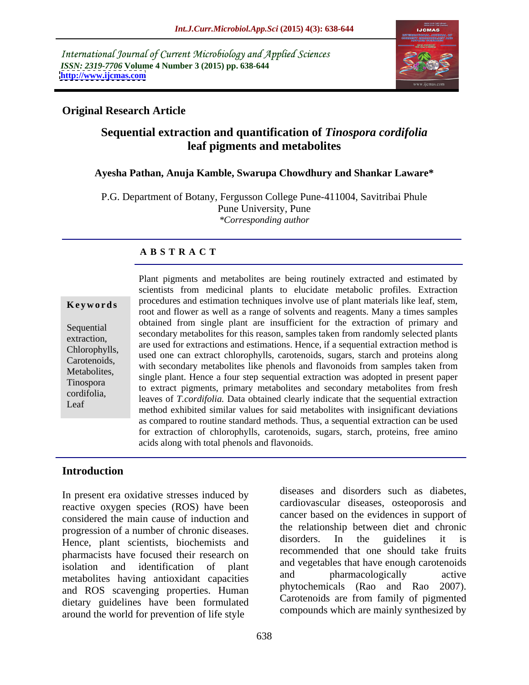International Journal of Current Microbiology and Applied Sciences *ISSN: 2319-7706* **Volume 4 Number 3 (2015) pp. 638-644 <http://www.ijcmas.com>**



# **Original Research Article**

# **Sequential extraction and quantification of** *Tinospora cordifolia* **leaf pigments and metabolites**

## **Ayesha Pathan, Anuja Kamble, Swarupa Chowdhury and Shankar Laware\***

P.G. Department of Botany, Fergusson College Pune-411004, Savitribai Phule Pune University, Pune *\*Corresponding author*

## **A B S T R A C T**

Leaf

Plant pigments and metabolites are being routinely extracted and estimated by scientists from medicinal plants to elucidate metabolic profiles. Extraction procedures and estimation techniques involve use of plant materials like leaf, stem, **Keywords** Procedures and estimation techniques involve use of plant materials like leaf, stelli, root and flower as well as a range of solvents and reagents. Many a times samples obtained from single plant are insufficient for the extraction of primary and Sequential secondary metabolites for this reason, samples taken from randomly selected plants secondary metabolites for this reason, samples taken from randomly selected plants extraction,<br>
are used for extractions and estimations. Hence, if a sequential extraction method is Chlorophylls,<br>
used one can extract chlorophylls, carotenoids, sugars, starch and proteins along Carotenoids,<br>Matebolites with secondary metabolites like phenols and flavonoids from samples taken from Metabolites,<br>Tinespore, single plant. Hence a four step sequential extraction was adopted in present paper Tinospora<br>to extract pigments, primary metabolites and secondary metabolites from fresh<br>conditions leaves of *T.cordifolia.* Data obtained clearly indicate that the sequential extraction cordifolia, method exhibited similar values for said metabolites with insignificant deviations as compared to routine standard methods. Thus, a sequential extraction can be used for extraction of chlorophylls, carotenoids, sugars, starch, proteins, free amino acids along with total phenols and flavonoids.

# **Introduction**

In present era oxidative stresses induced by reactive oxygen species (ROS) have been considered the main cause of induction and progression of a number of chronic diseases.<br>
Hence, plant, scientists, highenists, and disorders. In the guidelines it is Hence, plant scientists, biochemists and pharmacists have focused their research on isolation and identification of plant and vegetables that have enough carotenous metabolites having antioxidant capacities and pharmacologically active and ROS scavenging properties. Human dietary guidelines have been formulated around the world for prevention of life style

diseases and disorders such as diabetes, cardiovascular diseases, osteoporosis and cancer based on the evidences in support of the relationship between diet and chronic disorders. In the guidelines it is recommended that one should take fruits and vegetables that have enough carotenoids and pharmacologically active phytochemicals (Rao and Rao 2007). Carotenoids are from family of pigmented compounds which are mainly synthesized by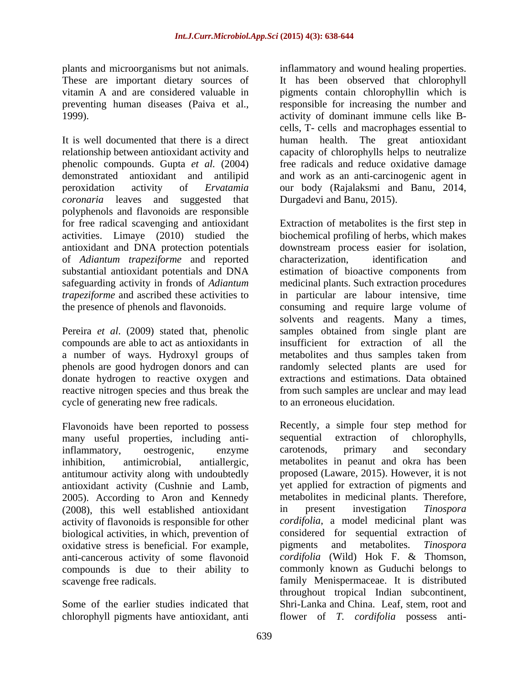*coronaria* leaves and suggested that polyphenols and flavonoids are responsible of *Adiantum trapeziforme* and reported substantial antioxidant potentials and DNA estimation of bioactive components from

cycle of generating new free radicals.

Flavonoids have been reported to possess are Recently, a simple four step method for many useful properties, including anti-<br>sequential extraction of chlorophylls, many useful properties, including anti-<br>inflammatory. oestrogenic. enzyme carotenods, primary and secondary antitumour activity along with undoubtedly 2005). According to Aron and Kennedy metabolites in medicinal plants. Therefore, (2008), this well established antioxidant in present investigation *Tinospora* (2008), this well established antioxidant activity of flavonoids is responsible for other biological activities, in which, prevention of oxidative stress is beneficial. For example, pigments and metabolites. Tinospora anti-cancerous activity of some flavonoid compounds is due to their ability to

chlorophyll pigments have antioxidant, anti

plants and microorganisms but not animals. inflammatory and wound healing properties. These are important dietary sources of It has been observed that chlorophyll vitamin A and are considered valuable in pigments contain chlorophyllin which is preventing human diseases (Paiva et al., responsible for increasing the number and 1999). activity of dominant immune cells like B- It is well documented that there is a direct human health. The great antioxidant relationship between antioxidant activity and capacity of chlorophylls helps to neutralize phenolic compounds. Gupta *et al.* (2004) free radicals and reduce oxidative damage demonstrated antioxidant and antilipid and work as an anti-carcinogenic agent in peroxidation activity of *Ervatamia*  our body (Rajalaksmi and Banu, 2014, cells, T- cells and macrophages essential to Durgadevi and Banu, 2015).

for free radical scavenging and antioxidant Extraction of metabolites is the first step in activities. Limaye (2010) studied the biochemical profiling of herbs, which makes antioxidant and DNA protection potentials downstream process easier for isolation, safeguarding activity in fronds of *Adiantum*  medicinal plants. Such extraction procedures *trapeziforme* and ascribed these activities to in particular are labour intensive, time the presence of phenols and flavonoids. consuming and require large volume of Pereira *et al*. (2009) stated that, phenolic samples obtained from single plant are compounds are able to act as antioxidants in insufficient for extraction of all the a number of ways. Hydroxyl groups of metabolites and thus samples taken from phenols are good hydrogen donors and can randomly selected plants are used for donate hydrogen to reactive oxygen and extractions and estimations. Data obtained reactive nitrogen species and thus break the from such samples are unclear and may lead characterization, identification and estimation of bioactive components from solvents and reagents. Many a times, to an erroneous elucidation.

inflammatory, oestrogenic, enzyme inhibition, antimicrobial, antiallergic, metabolites in peanut and okra has been antioxidant activity (Cushnie and Lamb, yet applied for extraction of pigments and scavenge free radicals. family Menispermaceae. It is distributed Some of the earlier studies indicated that Shri-Lanka and China. Leaf, stem, root and Recently, a simple four step method for sequential extraction of carotenods, primary and secondary proposed (Laware, 2015). However, it is not metabolites in medicinal plants. Therefore, in present investigation *Tinospora cordifolia*, a model medicinal plant was considered for sequential extraction of pigments and metabolites. *Tinospora cordifolia* (Wild) Hok F. & Thomson, commonly known as Guduchi belongs to throughout tropical Indian subcontinent, flower of *T. cordifolia* possess anti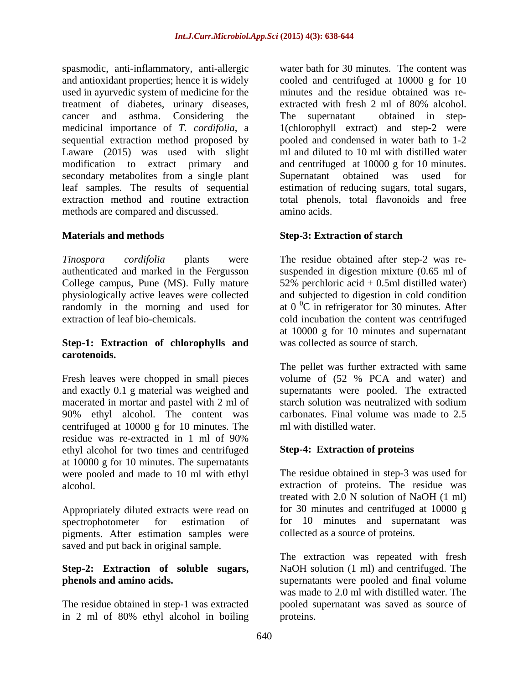spasmodic, anti-inflammatory, anti-allergic and antioxidant properties; hence it is widely cooled and centrifuged at 10000 g for 10 used in ayurvedic system of medicine for the treatment of diabetes, urinary diseases, extracted with fresh 2 ml of 80% alcohol. cancer and asthma. Considering the medicinal importance of *T. cordifolia*, a 1(chlorophyll extract) and step-2 were sequential extraction method proposed by Laware (2015) was used with slight modification to extract primary and and centrifuged at 10000 g for 10 minutes. secondary metabolites from a single plant Supernatant obtained was used for leaf samples. The results of sequential estimation of reducing sugars, total sugars, extraction method and routine extraction total phenols, total flavonoids and free methods are compared and discussed. **and** amino acids.

*Tinospora cordifolia* plants were The residue obtained after step-2 was re authenticated and marked in the Fergusson suspended in digestion mixture (0.65 ml of College campus, Pune (MS). Fully mature 52% perchloric acid + 0.5ml distilled water) physiologically active leaves were collected and subjected to digestion in cold condition randomly in the morning and used for

## **Step-1: Extraction of chlorophylls and carotenoids.**

Fresh leaves were chopped in small pieces volume of  $(52 % PCA)$  and water) and and exactly 0.1 g material was weighed and macerated in mortar and pastel with 2 ml of starch solution was neutralized with sodium 90% ethyl alcohol. The content was centrifuged at 10000 g for 10 minutes. The residue was re-extracted in 1 ml of 90% ethyl alcohol for two times and centrifuged at 10000 g for 10 minutes. The supernatants were pooled and made to 10 ml with ethyl

pigments. After estimation samples were saved and put back in original sample.

# **Step-2: Extraction of soluble sugars,**

in 2 ml of 80% ethyl alcohol in boiling

water bath for 30 minutes. The content was minutes and the residue obtained was re extracted with fresh 2 ml of 80% alcohol. The supernatant obtained in step pooled and condensed in water bath to 1-2 ml and diluted to 10 ml with distilled water Supernatant obtained was amino acids.

# **Materials and methods Step-3: Extraction of starch**

extraction of leaf bio-chemicals. cold incubation the content was centrifuged at  $0<sup>0</sup>C$  in refrigerator for 30 minutes. After at 10000 g for 10 minutes and supernatant was collected as source of starch.

> The pellet was further extracted with same supernatants were pooled. The extracted starch solution was neutralized with sodium carbonates. Final volume was made to 2.5 ml with distilled water.

# **Step-4: Extraction of proteins**

alcohol. extraction of proteins. The residue was Appropriately diluted extracts were read on for 30 minutes and centrifuged at 10000 g spectrophotometer for estimation of for 10 minutes and supernatant was The residue obtained in step-3 was used for treated with 2.0 N solution of NaOH (1 ml) collected as a source of proteins.

**phenols and amino acids.**  supernatants were pooled and final volume The residue obtained in step-1 was extracted pooled supernatant was saved as source of The extraction was repeated with fresh NaOH solution (1 ml) and centrifuged. The was made to 2.0 ml with distilled water. The proteins.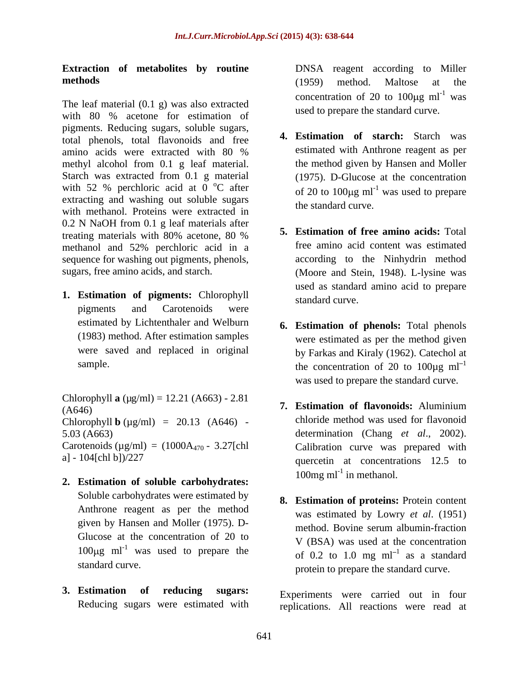## **Extraction of metabolites by routine methods** (1959) method. Maltose at the

The leaf material (0.1 g) was also extracted with 80 % acetone for estimation of used to prepare the standard curve. pigments. Reducing sugars, soluble sugars, total phenols, total flavonoids and free amino acids were extracted with 80 % estimated with Anthrone reagent as per methyl alcohol from 0.1 g leaf material. Starch was extracted from 0.1 g material with 52 % perchloric acid at  $\overline{0}^{\circ}$ C after of 20 to 100 kg ml<sup>-1</sup> was used to prepare extracting and washing out soluble sugars with methanol. Proteins were extracted in 0.2 N NaOH from 0.1 g leaf materials after treating materials with 80% acetone, 80 % methanol and 52% perchloric acid in a sequence for washing out pigments, phenols,

**1. Estimation of pigments:** Chlorophyll pigments and Carotenoids were estimated by Lichtenthaler and Welburn (1983) method. After estimation samples were saved and replaced in original

Chlorophyll **a** ( $\mu$ g/ml) = 12.21 (A663) - 2.81  $(A646)$  (A646) Chlorophyll **b** ( $\mu$ g/ml) = 20.13 (A646) -Carotenoids ( $\mu$ g/ml) = (1000A<sub>470</sub> - 3.27[chl

- **2. Estimation of soluble carbohydrates:** Soluble carbohydrates were estimated by Anthrone reagent as per the method Glucose at the concentration of 20 to 100 $\mu$ g ml<sup>-1</sup> was used to prepare the
- **3. Estimation of reducing sugars:** Experiments were carried out in four

DNSA reagent according to Miller (1959) method. Maltose at the concentration of 20 to  $100 \mu g$  ml<sup>-1</sup> was was **was** used to prepare the standard curve.

- **4. Estimation of starch:** Starch was estimated with Anthrone reagent as per the method given by Hansen and Moller (1975). D-Glucose at the concentration was used to prepare the standard curve.
- sugars, free amino acids, and starch. (Moore and Stein, 1948). L-lysine was **5. Estimation of free amino acids:** Total free amino acid content was estimated according to the Ninhydrin method used as standard amino acid to prepare standard curve.
	- sample.  $\mu$  the concentration of 20 to 100 $\mu$ g ml<sup>-1</sup> **6. Estimation of phenols:** Total phenols were estimated as per the method given by Farkas and Kiraly (1962). Catechol at was used to prepare the standard curve.
- 5.03 (A663) determination (Chang *et al*., 2002). a] - 104[chl b])/227 quercetin at concentrations 12.5 to **7. Estimation of flavonoids:** Aluminium chloride method was used for flavonoid Calibration curve was prepared with 100mg ml<sup>-1</sup> in methanol.
	- given by Hansen and Moller (1975). D-<br>method. Bovine serum albumin-fraction was used to prepare the  $\qquad \qquad$  of 0.2 to 1.0 mg ml<sup>-1</sup> as a standard standard curve. protein to prepare the standard curve. **8. Estimation of proteins:** Protein content was estimated by Lowry *et al*. (1951) method. Bovine serum albumin-fraction V (BSA) was used at the concentration as a standard

Reducing sugars were estimated with replications. All reactions were read at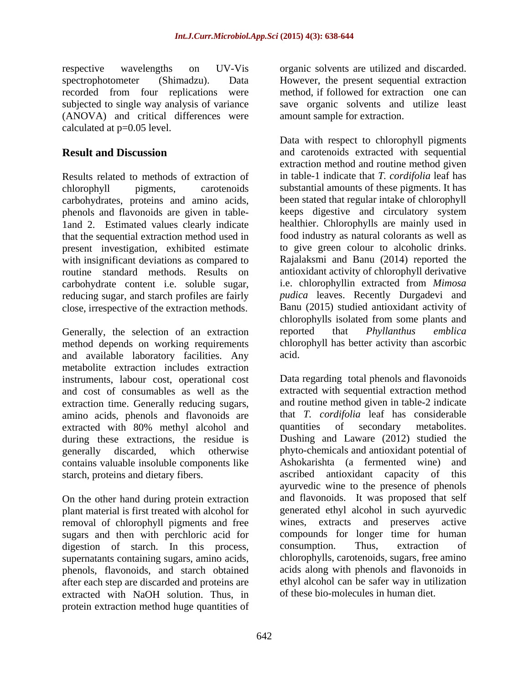respective wavelengths on UV-Vis organic solvents are utilized and discarded. spectrophotometer (Shimadzu). Data However, the present sequential extraction recorded from four replications were subjected to single way analysis of variance save organic solvents and utilize least (ANOVA) and critical differences were calculated at p=0.05 level.

Results related to methods of extraction of in table-1 indicate that *T. cordifolia* leaf has chlorophyll pigments, carotenoids substantial amounts of these pigments. It has carbohydrates, proteins and amino acids, been stated that regular intake of chlorophyll<br>
phenols and flavonoids are given in table-<br>
keeps digestive and circulatory system phenols and flavonoids are given in table- 1and 2. Estimated values clearly indicate healthier. Chlorophylls are mainly used in that the sequential extraction method used in present investigation, exhibited estimate with insignificant deviations as compared to routine standard methods. Results on antioxidant activity of chlorophyll derivative carbohydrate content i.e. soluble sugar, reducing sugar, and starch profiles are fairly close, irrespective of the extraction methods.

Generally, the selection of an extraction reported that *Phyllanthus emblica* method depends on working requirements and available laboratory facilities. Any metabolite extraction includes extraction instruments, labour cost, operational cost and cost of consumables as well as the extraction time. Generally reducing sugars, amino acids, phenols and flavonoids are extracted with 80% methyl alcohol and quantities of secondary metabolites. during these extractions, the residue is contains valuable insoluble components like

On the other hand during protein extraction plant material is first treated with alcohol for removal of chlorophyll pigments and free sugars and then with perchloric acid for<br>digestion of starch. In this process. consumption. Thus, digestion of starch. In this process, consumption. Thus, extraction of supernatants containing sugars, amino acids, phenols, flavonoids, and starch obtained after each step are discarded and proteins are extracted with NaOH solution. Thus, in protein extraction method huge quantities of

method, if followed for extraction one can amount sample for extraction.

**Result and Discussion** and carotenoids extracted with sequential Data with respect to chlorophyll pigments extraction method and routine method given been stated that regular intake of chlorophyll keeps digestive and circulatory system food industry as natural colorants as well as to give green colour to alcoholic drinks. Rajalaksmi and Banu (2014) reported the i.e. chlorophyllin extracted from *Mimosa pudica* leaves. Recently Durgadevi and Banu (2015) studied antioxidant activity of chlorophylls isolated from some plants and reported that *Phyllanthus emblica* chlorophyll has better activity than ascorbic acid.

generally discarded, which otherwise phyto-chemicals and antioxidant potential of starch, proteins and dietary fibers. ascribed antioxidant capacity of this Data regarding total phenols and flavonoids extracted with sequential extraction method and routine method given in table-2 indicate that *T. cordifolia* leaf has considerable quantities of secondary metabolites. Dushing and Laware (2012) studied the Ashokarishta (a fermented wine) ayurvedic wine to the presence of phenols and flavonoids. It was proposed that self generated ethyl alcohol in such ayurvedic wines, extracts and preserves active compounds for longer time for human consumption. Thus, extraction of chlorophylls, carotenoids, sugars, free amino acids along with phenols and flavonoids in ethyl alcohol can be safer way in utilization of these bio-molecules in human diet.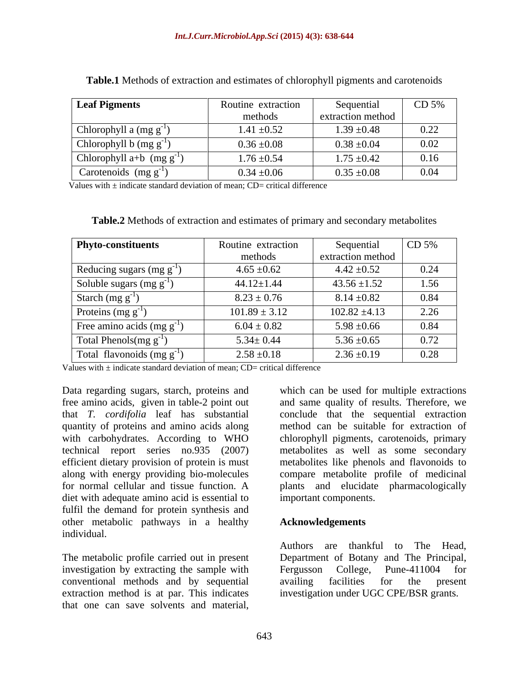| <b>Leaf Pigments</b>             | Routine extraction | Sequenti          | CD <sub>5%</sub> |
|----------------------------------|--------------------|-------------------|------------------|
|                                  | methods            | extraction method |                  |
| Chlorophyll a $(mg g^{-1})$      | $1.41 \pm 0.52$    | $1.39 \pm 0.48$   | 0.22             |
| Chlorophyll b $(mg g^{-1})$      | $0.36\,\pm\!0.08$  | $0.38 \pm 0.04$   | 0.02             |
| Chlorophyll $a+b$ (mg $g^{-1}$ ) | $1.76 \pm 0.54$    | $1.75 \pm 0.42$   | 0.16             |
| Carotenoids $(mg g^{-1})$        | $0.34 \pm 0.06$    | $0.35 \pm 0.08$   | 0.04             |

**Table.1** Methods of extraction and estimates of chlorophyll pigments and carotenoids

Values with  $\pm$  indicate standard deviation of mean; CD= critical difference

| Table.2 Methods of extraction and estimates of primary and secondary metabolites |  |  |
|----------------------------------------------------------------------------------|--|--|
|                                                                                  |  |  |

| Phyto-constituents             | Routine extraction | Sequential        | CD 5% |
|--------------------------------|--------------------|-------------------|-------|
|                                | methods            | extraction method |       |
| Reducing sugars (mg $g^{-1}$ ) | $4.65 \pm 0.62$    | $4.42 \pm 0.52$   | 0.24  |
| Soluble sugars (mg $g^{-1}$ )  | $44.12 \pm 1.44$   | $43.56 \pm 1.52$  | 1.56  |
| Starch (mg $g^{-1}$            | $8.23 \pm 0.76$    | $8.14 \pm 0.82$   | 0.84  |
| Proteins $(mg g^{-1})$         | $101.89 \pm 3.12$  | $102.82 \pm 4.13$ | 2.26  |
| Free amino acids $(mg g^{-1})$ | $6.04 \pm 0.82$    | $5.98 \pm 0.66$   | 0.84  |
| Total Phenols(mg $g^{-1}$ )    | $5.34 \pm 0.44$    | $5.36 \pm 0.65$   | 0.72  |
| Total flavonoids $(mg g^{-1})$ | $2.58 \pm 0.18$    | $2.36 \pm 0.19$   | 0.28  |

Values with  $\pm$  indicate standard deviation of mean; CD= critical difference

Data regarding sugars, starch, proteins and which can be used for multiple extractions free amino acids, given in table-2 point out and same quality of results. Therefore, we that *T. cordifolia* leaf has substantial conclude that the sequential extraction quantity of proteins and amino acids along method can be suitable for extraction of with carbohydrates. According to WHO chlorophyll pigments, carotenoids, primary technical report series no.935 (2007) efficient dietary provision of protein is must along with energy providing bio-molecules compare metabolite profile of medicinal for normal cellular and tissue function. A plants and elucidate pharmacologically diet with adequate amino acid is essential to fulfil the demand for protein synthesis and other metabolic pathways in a healthy individual. Data regarding sugars, starch, proteins and which can be used for multiple extractions<br>that  $T$ . cordifolia leaf has substantial conclude that the sequential extraction quantity of proteins and amino acids along method ca

investigation by extracting the sample with Fergusson College, Pune-411004 for conventional methods and by sequential

metabolites as well as some secondary metabolites like phenols and flavonoids to important components.

## **Acknowledgements**

The metabolic profile carried out in present Department of Botany and The Principal, extraction method is at par. This indicates investigation under UGC CPE/BSR grants.Authors are thankful to The Head, Fergusson College, Pune-411004 for availing facilities for the present